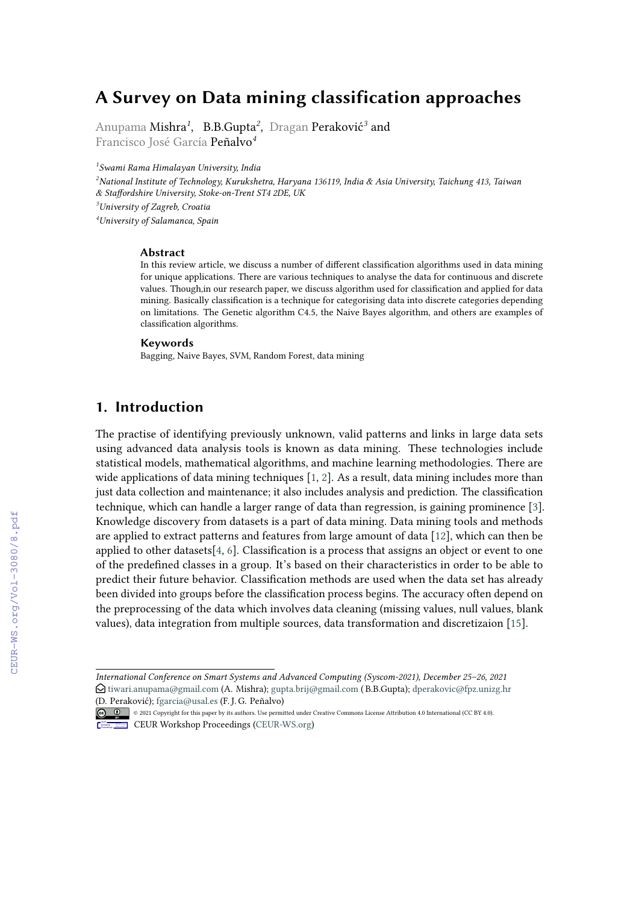# **A Survey on Data mining classification approaches**

Anupama Mishra*<sup>1</sup>* , B.B.Gupta*<sup>2</sup>* , Dragan Peraković*<sup>3</sup>* and Francisco José García Peñalvo*<sup>4</sup>*

*1 Swami Rama Himalayan University, India*

*National Institute of Technology, Kurukshetra, Haryana 136119, India & Asia University, Taichung 413, Taiwan & Staffordshire University, Stoke-on-Trent ST4 2DE, UK University of Zagreb, Croatia University of Salamanca, Spain*

#### **Abstract**

In this review article, we discuss a number of different classification algorithms used in data mining for unique applications. There are various techniques to analyse the data for continuous and discrete values. Though,in our research paper, we discuss algorithm used for classification and applied for data mining. Basically classification is a technique for categorising data into discrete categories depending on limitations. The Genetic algorithm C4.5, the Naive Bayes algorithm, and others are examples of classification algorithms.

#### **Keywords**

Bagging, Naive Bayes, SVM, Random Forest, data mining

### **1. Introduction**

The practise of identifying previously unknown, valid patterns and links in large data sets using advanced data analysis tools is known as data mining. These technologies include statistical models, mathematical algorithms, and machine learning methodologies. There are wide applications of data mining techniques [\[1,](#page--1-0) [2\]](#page--1-1). As a result, data mining includes more than just data collection and maintenance; it also includes analysis and prediction. The classification technique, which can handle a larger range of data than regression, is gaining prominence [\[3\]](#page--1-2). Knowledge discovery from datasets is a part of data mining. Data mining tools and methods are applied to extract patterns and features from large amount of data [\[12\]](#page--1-3), which can then be applied to other datasets[\[4,](#page--1-4) [6\]](#page--1-5). Classification is a process that assigns an object or event to one of the predefined classes in a group. It's based on their characteristics in order to be able to predict their future behavior. Classification methods are used when the data set has already been divided into groups before the classification process begins. The accuracy often depend on the preprocessing of the data which involves data cleaning (missing values, null values, blank values), data integration from multiple sources, data transformation and discretizaion [\[15\]](#page--1-6).

*International Conference on Smart Systems and Advanced Computing (Syscom-2021), December 25–26, 2021*  $\bigcirc$  [tiwari.anupama@gmail.com](mailto:tiwari.anupama@gmail.com) (A. Mishra); [gupta.brij@gmail.com](mailto:gupta.brij@gmail.com) (B.B.Gupta); [dperakovic@fpz.unizg.hr](mailto:dperakovic@fpz.unizg.hr) [\(D. Perak](https://creativecommons.org/licenses/by/4.0)ović); [fgarcia@usal.es](mailto:fgarcia@usal.es) (F. J. G. Peñalvo)

<sup>© © © 2021</sup> Copyright for this paper by its authors. Use permitted under Creative Commons License Attribution 4.0 International (CC BY 4.0).

**CEUR Workshop [Proceedings](http://ceur-ws.org) [\(CEUR-WS.org\)](http://ceur-ws.org)**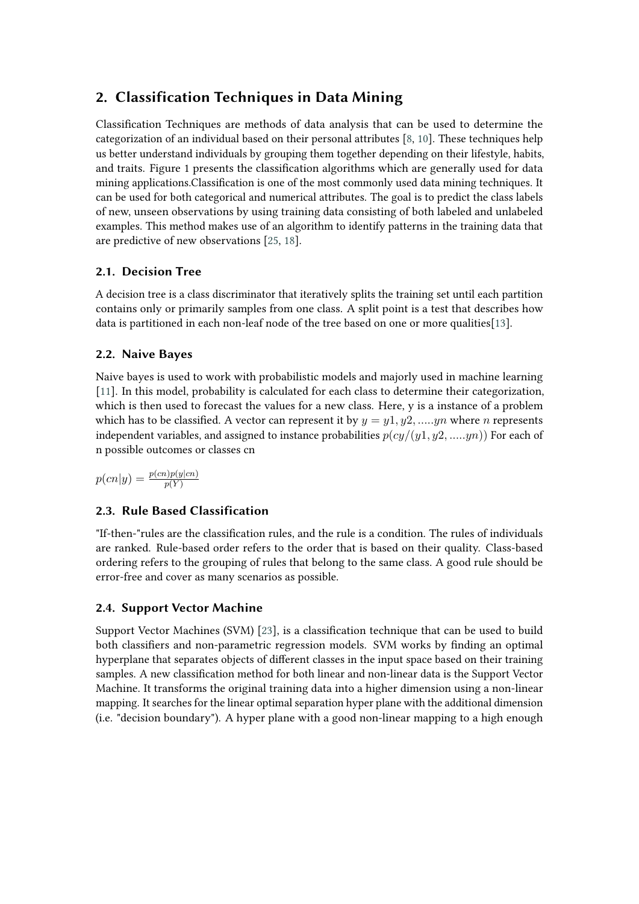# **2. Classification Techniques in Data Mining**

Classification Techniques are methods of data analysis that can be used to determine the categorization of an individual based on their personal attributes [\[8,](#page-6-0) [10\]](#page-6-1). These techniques help us better understand individuals by grouping them together depending on their lifestyle, habits, and traits. Figure 1 presents the classification algorithms which are generally used for data mining applications.Classification is one of the most commonly used data mining techniques. It can be used for both categorical and numerical attributes. The goal is to predict the class labels of new, unseen observations by using training data consisting of both labeled and unlabeled examples. This method makes use of an algorithm to identify patterns in the training data that are predictive of new observations [\[25,](#page-7-0) [18\]](#page-7-1).

### **2.1. Decision Tree**

A decision tree is a class discriminator that iteratively splits the training set until each partition contains only or primarily samples from one class. A split point is a test that describes how data is partitioned in each non-leaf node of the tree based on one or more qualities[\[13\]](#page-7-2).

#### **2.2. Naive Bayes**

Naive bayes is used to work with probabilistic models and majorly used in machine learning [\[11\]](#page-6-2). In this model, probability is calculated for each class to determine their categorization, which is then used to forecast the values for a new class. Here, y is a instance of a problem which has to be classified. A vector can represent it by  $y = y_1, y_2, \dots, y_n$  where *n* represents independent variables, and assigned to instance probabilities  $p(cy/(y1, y2, \ldots, yn))$  For each of n possible outcomes or classes cn

 $p(cn|y) = \frac{p(cn)p(y|cn)}{p(Y)}$ 

### **2.3. Rule Based Classification**

"If-then-"rules are the classification rules, and the rule is a condition. The rules of individuals are ranked. Rule-based order refers to the order that is based on their quality. Class-based ordering refers to the grouping of rules that belong to the same class. A good rule should be error-free and cover as many scenarios as possible.

#### **2.4. Support Vector Machine**

Support Vector Machines (SVM) [\[23\]](#page-7-3), is a classification technique that can be used to build both classifiers and non-parametric regression models. SVM works by finding an optimal hyperplane that separates objects of different classes in the input space based on their training samples. A new classification method for both linear and non-linear data is the Support Vector Machine. It transforms the original training data into a higher dimension using a non-linear mapping. It searches for the linear optimal separation hyper plane with the additional dimension (i.e. "decision boundary"). A hyper plane with a good non-linear mapping to a high enough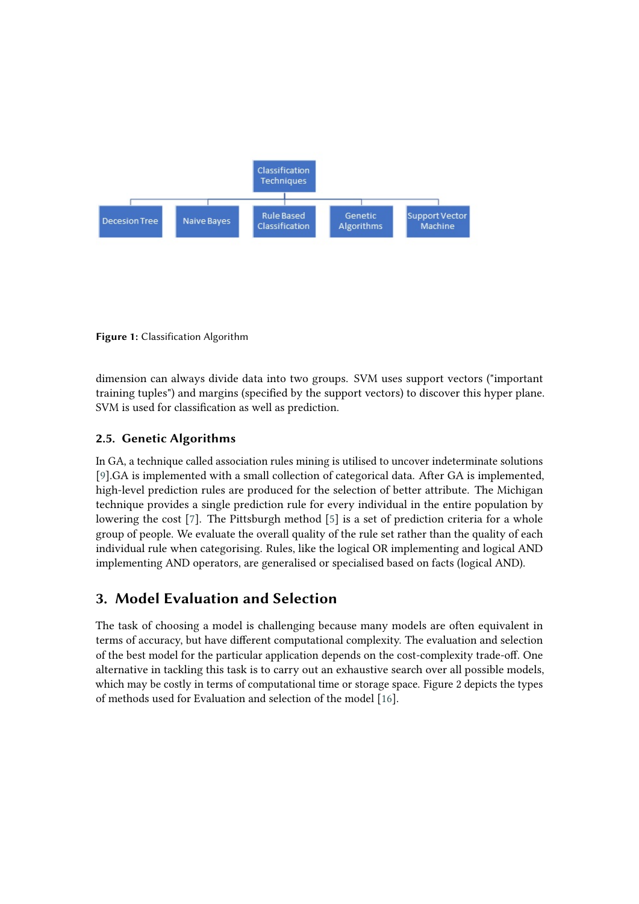

**Figure 1:** Classification Algorithm

dimension can always divide data into two groups. SVM uses support vectors ("important training tuples") and margins (specified by the support vectors) to discover this hyper plane. SVM is used for classification as well as prediction.

#### **2.5. Genetic Algorithms**

In GA, a technique called association rules mining is utilised to uncover indeterminate solutions [\[9\]](#page-6-3).GA is implemented with a small collection of categorical data. After GA is implemented, high-level prediction rules are produced for the selection of better attribute. The Michigan technique provides a single prediction rule for every individual in the entire population by lowering the cost [\[7\]](#page-6-4). The Pittsburgh method [\[5\]](#page-6-5) is a set of prediction criteria for a whole group of people. We evaluate the overall quality of the rule set rather than the quality of each individual rule when categorising. Rules, like the logical OR implementing and logical AND implementing AND operators, are generalised or specialised based on facts (logical AND).

## **3. Model Evaluation and Selection**

The task of choosing a model is challenging because many models are often equivalent in terms of accuracy, but have different computational complexity. The evaluation and selection of the best model for the particular application depends on the cost-complexity trade-off. One alternative in tackling this task is to carry out an exhaustive search over all possible models, which may be costly in terms of computational time or storage space. Figure 2 depicts the types of methods used for Evaluation and selection of the model [\[16\]](#page-7-4).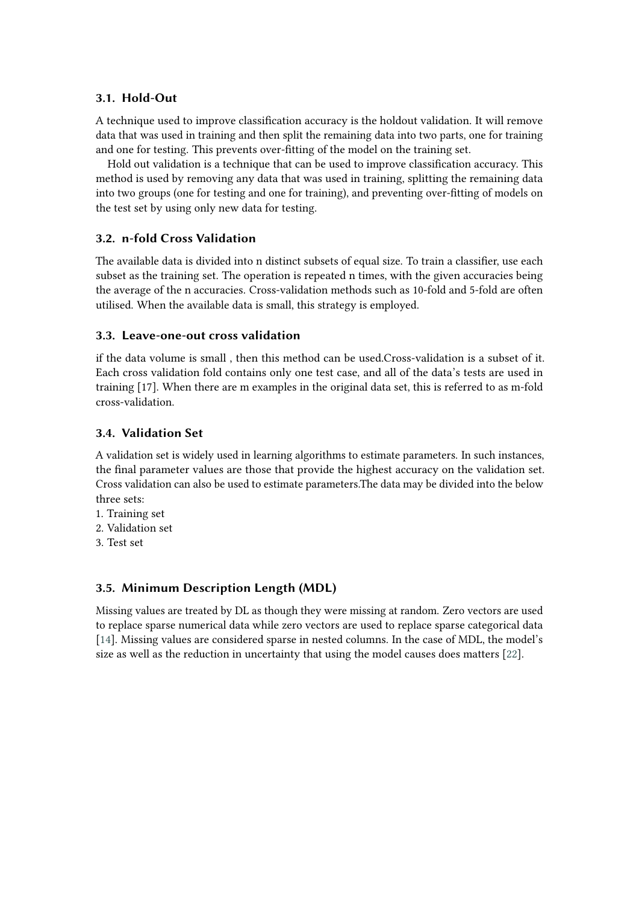#### **3.1. Hold-Out**

A technique used to improve classification accuracy is the holdout validation. It will remove data that was used in training and then split the remaining data into two parts, one for training and one for testing. This prevents over-fitting of the model on the training set.

Hold out validation is a technique that can be used to improve classification accuracy. This method is used by removing any data that was used in training, splitting the remaining data into two groups (one for testing and one for training), and preventing over-fitting of models on the test set by using only new data for testing.

### **3.2. n-fold Cross Validation**

The available data is divided into n distinct subsets of equal size. To train a classifier, use each subset as the training set. The operation is repeated n times, with the given accuracies being the average of the n accuracies. Cross-validation methods such as 10-fold and 5-fold are often utilised. When the available data is small, this strategy is employed.

#### **3.3. Leave-one-out cross validation**

if the data volume is small , then this method can be used.Cross-validation is a subset of it. Each cross validation fold contains only one test case, and all of the data's tests are used in training [17]. When there are m examples in the original data set, this is referred to as m-fold cross-validation.

#### **3.4. Validation Set**

A validation set is widely used in learning algorithms to estimate parameters. In such instances, the final parameter values are those that provide the highest accuracy on the validation set. Cross validation can also be used to estimate parameters.The data may be divided into the below three sets:

- 1. Training set
- 2. Validation set
- 3. Test set

#### **3.5. Minimum Description Length (MDL)**

Missing values are treated by DL as though they were missing at random. Zero vectors are used to replace sparse numerical data while zero vectors are used to replace sparse categorical data [\[14\]](#page-7-5). Missing values are considered sparse in nested columns. In the case of MDL, the model's size as well as the reduction in uncertainty that using the model causes does matters [\[22\]](#page-7-6).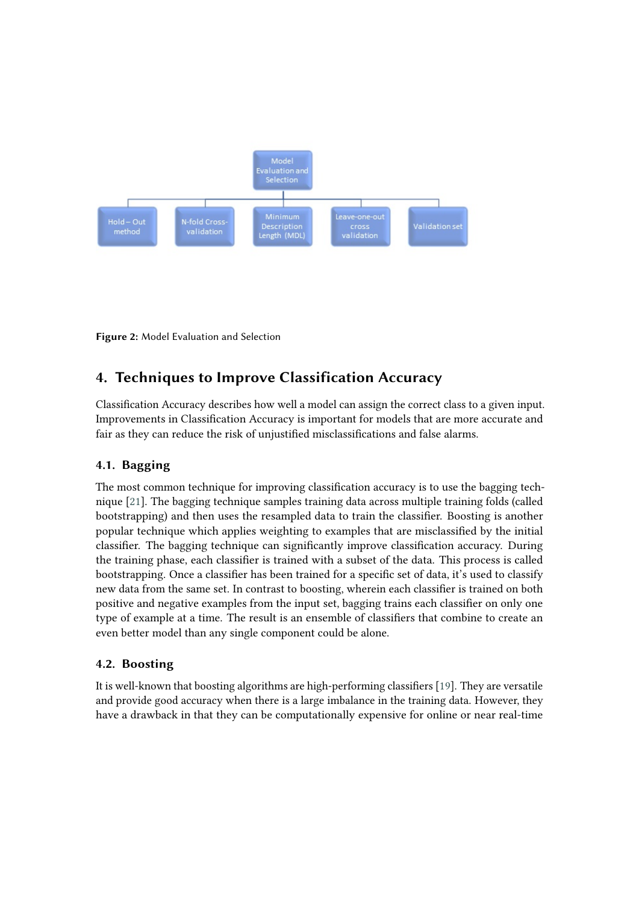

**Figure 2:** Model Evaluation and Selection

# **4. Techniques to Improve Classification Accuracy**

Classification Accuracy describes how well a model can assign the correct class to a given input. Improvements in Classification Accuracy is important for models that are more accurate and fair as they can reduce the risk of unjustified misclassifications and false alarms.

#### **4.1. Bagging**

The most common technique for improving classification accuracy is to use the bagging technique [\[21\]](#page-7-7). The bagging technique samples training data across multiple training folds (called bootstrapping) and then uses the resampled data to train the classifier. Boosting is another popular technique which applies weighting to examples that are misclassified by the initial classifier. The bagging technique can significantly improve classification accuracy. During the training phase, each classifier is trained with a subset of the data. This process is called bootstrapping. Once a classifier has been trained for a specific set of data, it's used to classify new data from the same set. In contrast to boosting, wherein each classifier is trained on both positive and negative examples from the input set, bagging trains each classifier on only one type of example at a time. The result is an ensemble of classifiers that combine to create an even better model than any single component could be alone.

#### **4.2. Boosting**

It is well-known that boosting algorithms are high-performing classifiers [\[19\]](#page-7-8). They are versatile and provide good accuracy when there is a large imbalance in the training data. However, they have a drawback in that they can be computationally expensive for online or near real-time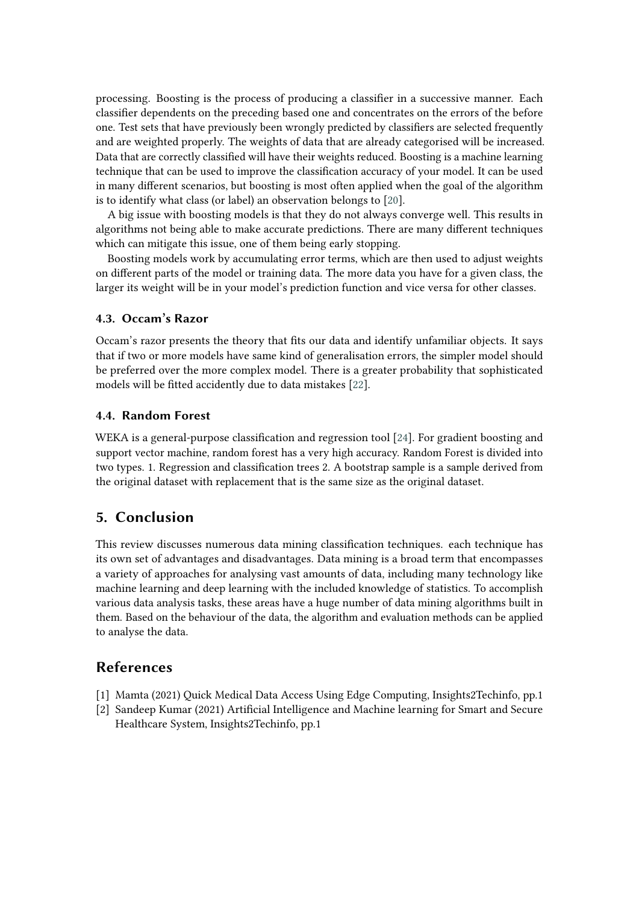processing. Boosting is the process of producing a classifier in a successive manner. Each classifier dependents on the preceding based one and concentrates on the errors of the before one. Test sets that have previously been wrongly predicted by classifiers are selected frequently and are weighted properly. The weights of data that are already categorised will be increased. Data that are correctly classified will have their weights reduced. Boosting is a machine learning technique that can be used to improve the classification accuracy of your model. It can be used in many different scenarios, but boosting is most often applied when the goal of the algorithm is to identify what class (or label) an observation belongs to [\[20\]](#page-7-9).

A big issue with boosting models is that they do not always converge well. This results in algorithms not being able to make accurate predictions. There are many different techniques which can mitigate this issue, one of them being early stopping.

Boosting models work by accumulating error terms, which are then used to adjust weights on different parts of the model or training data. The more data you have for a given class, the larger its weight will be in your model's prediction function and vice versa for other classes.

#### **4.3. Occam's Razor**

Occam's razor presents the theory that fits our data and identify unfamiliar objects. It says that if two or more models have same kind of generalisation errors, the simpler model should be preferred over the more complex model. There is a greater probability that sophisticated models will be fitted accidently due to data mistakes [\[22\]](#page-7-6).

#### **4.4. Random Forest**

WEKA is a general-purpose classification and regression tool [\[24\]](#page-7-10). For gradient boosting and support vector machine, random forest has a very high accuracy. Random Forest is divided into two types. 1. Regression and classification trees 2. A bootstrap sample is a sample derived from the original dataset with replacement that is the same size as the original dataset.

### **5. Conclusion**

This review discusses numerous data mining classification techniques. each technique has its own set of advantages and disadvantages. Data mining is a broad term that encompasses a variety of approaches for analysing vast amounts of data, including many technology like machine learning and deep learning with the included knowledge of statistics. To accomplish various data analysis tasks, these areas have a huge number of data mining algorithms built in them. Based on the behaviour of the data, the algorithm and evaluation methods can be applied to analyse the data.

### **References**

- [1] Mamta (2021) Quick Medical Data Access Using Edge Computing, Insights2Techinfo, pp.1
- [2] Sandeep Kumar (2021) Artificial Intelligence and Machine learning for Smart and Secure Healthcare System, Insights2Techinfo, pp.1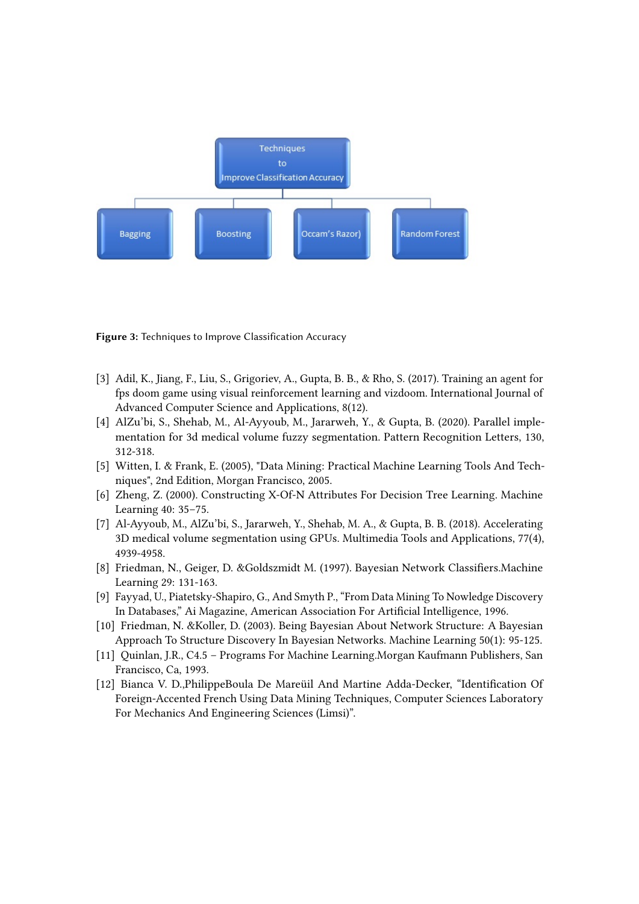

**Figure 3:** Techniques to Improve Classification Accuracy

- [3] Adil, K., Jiang, F., Liu, S., Grigoriev, A., Gupta, B. B., & Rho, S. (2017). Training an agent for fps doom game using visual reinforcement learning and vizdoom. International Journal of Advanced Computer Science and Applications, 8(12).
- [4] AlZu'bi, S., Shehab, M., Al-Ayyoub, M., Jararweh, Y., & Gupta, B. (2020). Parallel implementation for 3d medical volume fuzzy segmentation. Pattern Recognition Letters, 130, 312-318.
- <span id="page-6-5"></span>[5] Witten, I. & Frank, E. (2005), "Data Mining: Practical Machine Learning Tools And Techniques", 2nd Edition, Morgan Francisco, 2005.
- [6] Zheng, Z. (2000). Constructing X-Of-N Attributes For Decision Tree Learning. Machine Learning 40: 35–75.
- <span id="page-6-4"></span>[7] Al-Ayyoub, M., AlZu'bi, S., Jararweh, Y., Shehab, M. A., & Gupta, B. B. (2018). Accelerating 3D medical volume segmentation using GPUs. Multimedia Tools and Applications, 77(4), 4939-4958.
- <span id="page-6-0"></span>[8] Friedman, N., Geiger, D. &Goldszmidt M. (1997). Bayesian Network Classifiers.Machine Learning 29: 131-163.
- <span id="page-6-3"></span>[9] Fayyad, U., Piatetsky-Shapiro, G., And Smyth P., "From Data Mining To Nowledge Discovery In Databases," Ai Magazine, American Association For Artificial Intelligence, 1996.
- <span id="page-6-1"></span>[10] Friedman, N. &Koller, D. (2003). Being Bayesian About Network Structure: A Bayesian Approach To Structure Discovery In Bayesian Networks. Machine Learning 50(1): 95-125.
- <span id="page-6-2"></span>[11] Quinlan, J.R., C4.5 – Programs For Machine Learning.Morgan Kaufmann Publishers, San Francisco, Ca, 1993.
- [12] Bianca V. D.,PhilippeBoula De Mareüil And Martine Adda-Decker, "Identification Of Foreign-Accented French Using Data Mining Techniques, Computer Sciences Laboratory For Mechanics And Engineering Sciences (Limsi)".